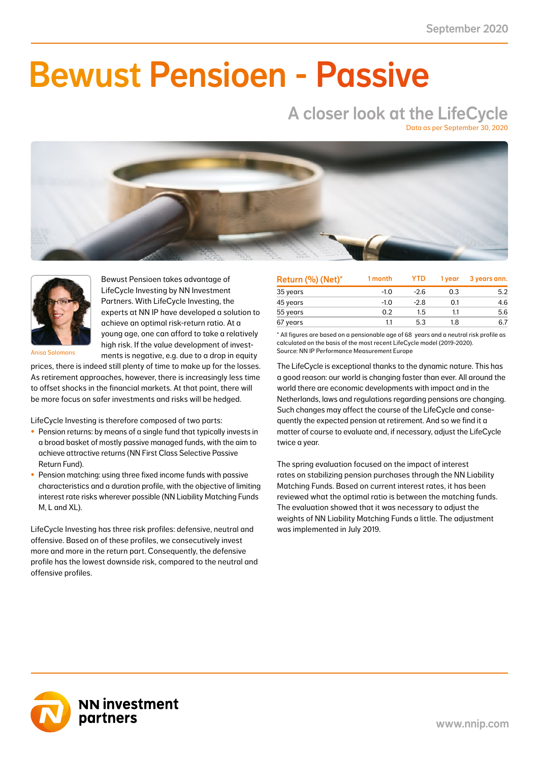NN First Class Selective Passive Return Fund -1.5 -0.6 -4.3 -1.8 -0.2 -0.1 4.3 1.8 13.5 5.7 41.0

### NN Liability Matching Fund M 0.3 0.1 1.2 0.4 -0.2 -0.1 1.2 0.5 3.5 1.4 38.0  $\blacksquare$  IIMAAILIA NN Liability Matching Fund XL 5.9 0.8 28.4 3.1 9.8 1.2 25.9 2.7 99.5 8.6 11.0 Bewust Pensioen - Passive

# A closer look at the LifeCycle

Data as per September 30, 2020





Bewust Pensioen takes advantage of LifeCycle Investing by NN Investment Partners. With LifeCycle Investing, the experts at NN IP have developed a solution to achieve an optimal risk-return ratio. At a young age, one can afford to take a relatively high risk. If the value development of investments is negative, e.g. due to a drop in equity

Anisa Salomons

prices, there is indeed still plenty of time to make up for the losses. As retirement approaches, however, there is increasingly less time to offset shocks in the financial markets. At that point, there will be more focus on safer investments and risks will be hedged.

LifeCycle Investing is therefore composed of two parts:

- Pension returns: by means of a single fund that typically invests in a broad basket of mostly passive managed funds, with the aim to achieve attractive returns (NN First Class Selective Passive Return Fund).
- Pension matching: using three fixed income funds with passive characteristics and a duration profile, with the objective of limiting interest rate risks wherever possible (NN Liability Matching Funds M, L and XL).

LifeCycle Investing has three risk profiles: defensive, neutral and offensive. Based on of these profiles, we consecutively invest more and more in the return part. Consequently, the defensive profile has the lowest downside risk, compared to the neutral and offensive profiles.

| Return (%) (Net)* | 1 month | <b>YTD</b> | 1 vear | 3 years ann. |
|-------------------|---------|------------|--------|--------------|
| 35 years          | $-1.0$  | $-2.6$     | 0.3    | 5.2          |
| 45 years          | $-1.0$  | $-2.8$     | 0.1    | 4.6          |
| 55 years          | 0.2     | 1.5        | 1.1    | 5.6          |
| 67 years          | 1.1     | 5.3        | 1.8    | 6.7          |

\* All figures are based on a pensionable age of 68 years and a neutral risk profile as calculated on the basis of the most recent LifeCycle model (2019-2020). Source: NN IP Performance Measurement Europe

The LifeCycle is exceptional thanks to the dynamic nature. This has a good reason: our world is changing faster than ever. All around the world there are economic developments with impact and in the Netherlands, laws and regulations regarding pensions are changing. Such changes may affect the course of the LifeCycle and consequently the expected pension at retirement. And so we find it a matter of course to evaluate and, if necessary, adjust the LifeCycle twice a year.

The spring evaluation focused on the impact of interest rates on stabilizing pension purchases through the NN Liability Matching Funds. Based on current interest rates, it has been reviewed what the optimal ratio is between the matching funds. The evaluation showed that it was necessary to adjust the weights of NN Liability Matching Funds a little. The adjustment was implemented in July 2019.

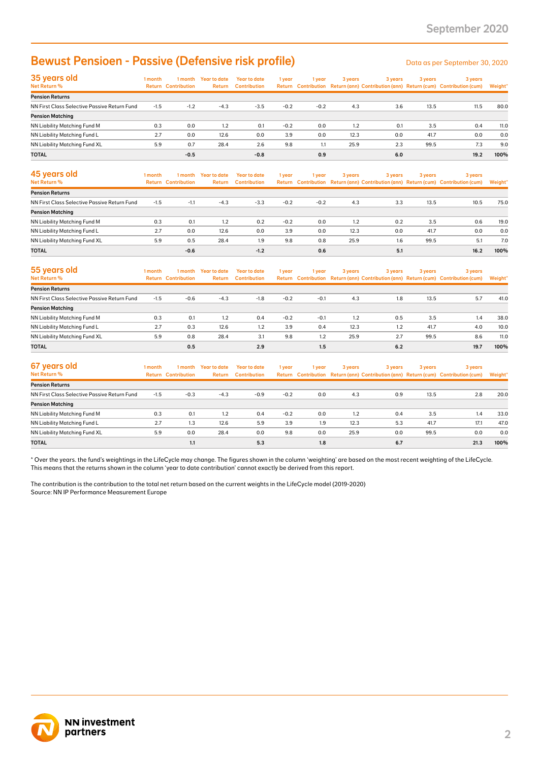## Bewust Pensioen - Passive (Defensive risk profile)

| 35 years old<br>Net Return %                 | 1 month | 1 month<br><b>Return Contribution</b> | <b>Year to date</b><br>Return | <b>Year to date</b><br><b>Contribution</b> | 1 year | 1 year | 3 years | 3 years | 3 years | 3 years<br>Return Contribution Return (ann) Contribution (ann) Return (cum) Contribution (cum) | Weight* |
|----------------------------------------------|---------|---------------------------------------|-------------------------------|--------------------------------------------|--------|--------|---------|---------|---------|------------------------------------------------------------------------------------------------|---------|
| <b>Pension Returns</b>                       |         |                                       |                               |                                            |        |        |         |         |         |                                                                                                |         |
| NN First Class Selective Passive Return Fund | $-1.5$  | $-1.2$                                | $-4.3$                        | $-3.5$                                     | $-0.2$ | $-0.2$ | 4.3     | 3.6     | 13.5    | 11.5                                                                                           | 80.0    |
| <b>Pension Matching</b>                      |         |                                       |                               |                                            |        |        |         |         |         |                                                                                                |         |
| <b>NN Liability Matching Fund M</b>          | 0.3     | 0.0                                   | 1.2                           | 0.1                                        | $-0.2$ | 0.0    | 1.2     | 0.1     | 3.5     | 0.4                                                                                            | 11.0    |
| NN Liability Matching Fund L                 | 2.7     | 0.0                                   | 12.6                          | 0.0                                        | 3.9    | 0.0    | 12.3    | 0.0     | 41.7    | 0.0                                                                                            | 0.0     |
| NN Liability Matching Fund XL                | 5.9     | 0.7                                   | 28.4                          | 2.6                                        | 9.8    | 1.1    | 25.9    | 2.3     | 99.5    | 7.3                                                                                            | 9.0     |
| <b>TOTAL</b>                                 |         | $-0.5$                                |                               | $-0.8$                                     |        | 0.9    |         | 6.0     |         | 19.2                                                                                           | 100%    |

| <b>Bewust Pensioen - Passive (Defensive risk profile)</b>                                                                                                                                                                                                                                               |            |                                       |                                |                                            |               |        |             |         |             | Data as per September 30, 2020                                                                 |             |
|---------------------------------------------------------------------------------------------------------------------------------------------------------------------------------------------------------------------------------------------------------------------------------------------------------|------------|---------------------------------------|--------------------------------|--------------------------------------------|---------------|--------|-------------|---------|-------------|------------------------------------------------------------------------------------------------|-------------|
| 35 years old<br>Net Return %                                                                                                                                                                                                                                                                            | 1 month    | <b>Return Contribution</b>            | 1 month Year to date<br>Return | <b>Year to date</b><br><b>Contribution</b> | 1 year        | 1 year | 3 years     | 3 years | 3 years     | 3 years<br>Return Contribution Return (ann) Contribution (ann) Return (cum) Contribution (cum) | Weight'     |
| <b>Pension Returns</b>                                                                                                                                                                                                                                                                                  |            |                                       |                                |                                            |               |        |             |         |             |                                                                                                |             |
| NN First Class Selective Passive Return Fund                                                                                                                                                                                                                                                            | $-1.5$     | $-1.2$                                | $-4.3$                         | $-3.5$                                     | $-0.2$        | $-0.2$ | 4.3         | 3.6     | 13.5        | 11.5                                                                                           | 80.0        |
| <b>Pension Matching</b>                                                                                                                                                                                                                                                                                 |            |                                       |                                |                                            |               | 0.0    |             | 0.1     |             |                                                                                                |             |
| NN Liability Matching Fund M<br>NN Liability Matching Fund L                                                                                                                                                                                                                                            | 0.3<br>2.7 | 0.0<br>0.0                            | 1.2<br>12.6                    | 0.1<br>0.0                                 | $-0.2$<br>3.9 | 0.0    | 1.2<br>12.3 | 0.0     | 3.5<br>41.7 | 0.4<br>0.0                                                                                     | 11.0<br>0.0 |
| NN Liability Matching Fund XL                                                                                                                                                                                                                                                                           | 5.9        | 0.7                                   | 28.4                           | 2.6                                        | 9.8           | 1.1    | 25.9        | 2.3     | 99.5        | 7.3                                                                                            | 9.0         |
| TOTAL                                                                                                                                                                                                                                                                                                   |            | $-0.5$                                |                                | $-0.8$                                     |               | 0.9    |             | 6.0     |             | 19.2                                                                                           | 100%        |
|                                                                                                                                                                                                                                                                                                         |            |                                       |                                |                                            |               |        |             |         |             |                                                                                                |             |
| 45 years old<br>Net Return %                                                                                                                                                                                                                                                                            | 1 month    | 1 month<br><b>Return Contribution</b> | <b>Year to date</b><br>Return  | <b>Year to date</b><br><b>Contribution</b> | 1 year        | 1 year | 3 years     | 3 years | 3 years     | 3 years<br>Return Contribution Return (ann) Contribution (ann) Return (cum) Contribution (cum) | Weight'     |
| <b>Pension Returns</b>                                                                                                                                                                                                                                                                                  |            |                                       |                                |                                            |               |        |             |         |             |                                                                                                |             |
| NN First Class Selective Passive Return Fund                                                                                                                                                                                                                                                            | $-1.5$     | $-1.1$                                | $-4.3$                         | $-3.3$                                     | $-0.2$        | $-0.2$ | 4.3         | 3.3     | 13.5        | 10.5                                                                                           | 75.0        |
| <b>Pension Matching</b>                                                                                                                                                                                                                                                                                 |            |                                       |                                |                                            |               |        |             |         |             |                                                                                                |             |
| NN Liability Matching Fund M                                                                                                                                                                                                                                                                            | 0.3        | 0.1                                   | 1.2                            | 0.2                                        | $-0.2$        | 0.0    | 1.2         | 0.2     | 3.5         | 0.6                                                                                            | 19.0        |
| NN Liability Matching Fund L                                                                                                                                                                                                                                                                            | 2.7        | 0.0                                   | 12.6                           | 0.0                                        | 3.9           | 0.0    | 12.3        | 0.0     | 41.7        | 0.0                                                                                            | 0.0         |
| NN Liability Matching Fund XL                                                                                                                                                                                                                                                                           | 5.9        | 0.5                                   | 28.4                           | 1.9                                        | 9.8           | 0.8    | 25.9        | 1.6     | 99.5        | 5.1                                                                                            | 7.0         |
| TOTAL                                                                                                                                                                                                                                                                                                   |            | $-0.6$                                |                                | $-1.2$                                     |               | 0.6    |             | 5.1     |             | 16.2                                                                                           | 100%        |
| 55 years old<br>Net Return %                                                                                                                                                                                                                                                                            | 1 month    | 1 month<br><b>Return Contribution</b> | <b>Year to date</b><br>Return  | <b>Year to date</b><br><b>Contribution</b> | 1 year        | 1 year | 3 years     | 3 years | 3 years     | 3 years<br>Return Contribution Return (ann) Contribution (ann) Return (cum) Contribution (cum) | Weight*     |
| <b>Pension Returns</b>                                                                                                                                                                                                                                                                                  |            |                                       |                                |                                            |               |        |             |         |             |                                                                                                |             |
| NN First Class Selective Passive Return Fund                                                                                                                                                                                                                                                            | $-1.5$     | $-0.6$                                | $-4.3$                         | $-1.8$                                     | $-0.2$        | $-0.1$ | 4.3         | 1.8     | 13.5        | 5.7                                                                                            | 41.0        |
| <b>Pension Matching</b>                                                                                                                                                                                                                                                                                 |            |                                       |                                |                                            |               |        |             |         |             |                                                                                                |             |
| NN Liability Matching Fund M                                                                                                                                                                                                                                                                            | 0.3        | 0.1                                   | 1.2                            | 0.4                                        | $-0.2$        | $-0.1$ | 1.2         | 0.5     | 3.5         | 1.4                                                                                            | 38.0        |
| NN Liability Matching Fund L                                                                                                                                                                                                                                                                            | 2.7        | 0.3                                   | 12.6                           | 1.2                                        | 3.9           | 0.4    | 12.3        | 1.2     | 41.7        | 4.0                                                                                            | 10.0        |
| NN Liability Matching Fund XL                                                                                                                                                                                                                                                                           | 5.9        | 0.8                                   | 28.4                           | 3.1                                        | 9.8           | 1.2    | 25.9        | 2.7     | 99.5        | 8.6                                                                                            | 11.0        |
| TOTAL                                                                                                                                                                                                                                                                                                   |            | 0.5                                   |                                | 2.9                                        |               | 1.5    |             | 6.2     |             | 19.7                                                                                           | 100%        |
| 67 years old<br>Net Return %                                                                                                                                                                                                                                                                            | 1 month    | 1 month<br><b>Return Contribution</b> | <b>Year to date</b><br>Return  | <b>Year to date</b><br><b>Contribution</b> | 1 year        | 1 year | 3 years     | 3 years | 3 years     | 3 years<br>Return Contribution Return (ann) Contribution (ann) Return (cum) Contribution (cum) | Weight'     |
| <b>Pension Returns</b>                                                                                                                                                                                                                                                                                  |            |                                       |                                |                                            |               |        |             |         |             |                                                                                                |             |
| NN First Class Selective Passive Return Fund                                                                                                                                                                                                                                                            | $-1.5$     | $-0.3$                                | $-4.3$                         | $-0.9$                                     | $-0.2$        | 0.0    | 4.3         | 0.9     | 13.5        | 2.8                                                                                            | 20.0        |
| <b>Pension Matching</b>                                                                                                                                                                                                                                                                                 |            |                                       |                                |                                            |               |        |             |         |             |                                                                                                |             |
| NN Liability Matching Fund M                                                                                                                                                                                                                                                                            | 0.3        | 0.1                                   | 1.2                            | 0.4                                        | $-0.2$        | 0.0    | 1.2         | 0.4     | 3.5         | 1.4                                                                                            | 33.0        |
| NN Liability Matching Fund L                                                                                                                                                                                                                                                                            | 2.7        | 1.3                                   | 12.6                           | 5.9                                        | 3.9           | 1.9    | 12.3        | 5.3     | 41.7        | 17.1                                                                                           | 47.0        |
| NN Liability Matching Fund XL                                                                                                                                                                                                                                                                           | 5.9        | 0.0                                   | 28.4                           | 0.0                                        | 9.8           | 0.0    | 25.9        | 0.0     | 99.5        | 0.0                                                                                            | 0.0         |
| <b>TOTAL</b>                                                                                                                                                                                                                                                                                            |            | 1.1                                   |                                | 5.3                                        |               | 1.8    |             | 6.7     |             | 21.3                                                                                           | 100%        |
| This means that the returns shown in the column 'year to date contribution' cannot exactly be derived from this report.<br>The contribution is the contribution to the total net return based on the current weights in the LifeCycle model (2019-2020)<br>Source: NN IP Performance Measurement Europe |            |                                       |                                |                                            |               |        |             |         |             |                                                                                                |             |
| <b>NN investment</b><br>partners                                                                                                                                                                                                                                                                        |            |                                       |                                |                                            |               |        |             |         |             |                                                                                                |             |

| 55 years old                                 | 1 month | 1 month                    | <b>Year to date</b> | <b>Year to date</b> | 1 year | 1 year | 3 years | 3 years |      | 3 years                                                                             | 3 years |  |
|----------------------------------------------|---------|----------------------------|---------------------|---------------------|--------|--------|---------|---------|------|-------------------------------------------------------------------------------------|---------|--|
| <b>Net Return %</b>                          |         | <b>Return Contribution</b> | <b>Return</b>       | <b>Contribution</b> |        |        |         |         |      | Return Contribution Return (ann) Contribution (ann) Return (cum) Contribution (cum) | Weight* |  |
| <b>Pension Returns</b>                       |         |                            |                     |                     |        |        |         |         |      |                                                                                     |         |  |
| NN First Class Selective Passive Return Fund | $-1.5$  | $-0.6$                     | $-4.3$              | $-1.8$              | $-0.2$ | $-0.1$ | 4.3     | 1.8     | 13.5 | 5.7                                                                                 | 41.0    |  |
| <b>Pension Matching</b>                      |         |                            |                     |                     |        |        |         |         |      |                                                                                     |         |  |
| NN Liability Matching Fund M                 | 0.3     | 0.1                        | 1.2                 | 0.4                 | $-0.2$ | $-0.1$ | 1.2     | 0.5     | 3.5  | 1.4                                                                                 | 38.0    |  |
| NN Liability Matching Fund L                 | 2.7     | 0.3                        | 12.6                | 1.2                 | 3.9    | 0.4    | 12.3    | 1.2     | 41.7 | 4.0                                                                                 | 10.0    |  |
| NN Liability Matching Fund XL                | 5.9     | 0.8                        | 28.4                | 3.1                 | 9.8    | 1.2    | 25.9    | 2.7     | 99.5 | 8.6                                                                                 | 11.0    |  |
| <b>TOTAL</b>                                 |         | 0.5                        |                     | 2.9                 |        | 1.5    |         | 6.2     |      | 19.7                                                                                | 100%    |  |

| 67 years old                                 | 1 month | 1 month                    | <b>Year to date</b> | <b>Year to date</b> | 1 year | 1 year | 3 years | 3 years | 3 years | 3 years                                                                             |         |
|----------------------------------------------|---------|----------------------------|---------------------|---------------------|--------|--------|---------|---------|---------|-------------------------------------------------------------------------------------|---------|
| Net Return %                                 |         | <b>Return Contribution</b> | Return              | <b>Contribution</b> |        |        |         |         |         | Return Contribution Return (ann) Contribution (ann) Return (cum) Contribution (cum) | Weight* |
| <b>Pension Returns</b>                       |         |                            |                     |                     |        |        |         |         |         |                                                                                     |         |
| NN First Class Selective Passive Return Fund | $-1.5$  | $-0.3$                     | $-4.3$              | $-0.9$              | $-0.2$ | 0.0    | 4.3     | 0.9     | 13.5    | 2.8                                                                                 | 20.0    |
| <b>Pension Matching</b>                      |         |                            |                     |                     |        |        |         |         |         |                                                                                     |         |
| NN Liability Matching Fund M                 | 0.3     | 0.1                        | 1.2                 | 0.4                 | $-0.2$ | 0.0    | 1.2     | 0.4     | 3.5     | 1.4                                                                                 | 33.0    |
| NN Liability Matching Fund L                 | 2.7     | 1.3                        | 12.6                | 5.9                 | 3.9    | 1.9    | 12.3    | 5.3     | 41.7    | 17.1                                                                                | 47.0    |
| NN Liability Matching Fund XL                | 5.9     | 0.0                        | 28.4                | 0.0                 | 9.8    | 0.0    | 25.9    | 0.0     | 99.5    | 0.0                                                                                 | 0.0     |
| <b>TOTAL</b>                                 |         | 1.1                        |                     | 5.3                 |        | 1.8    |         | 6.7     |         | 21.3                                                                                | 100%    |

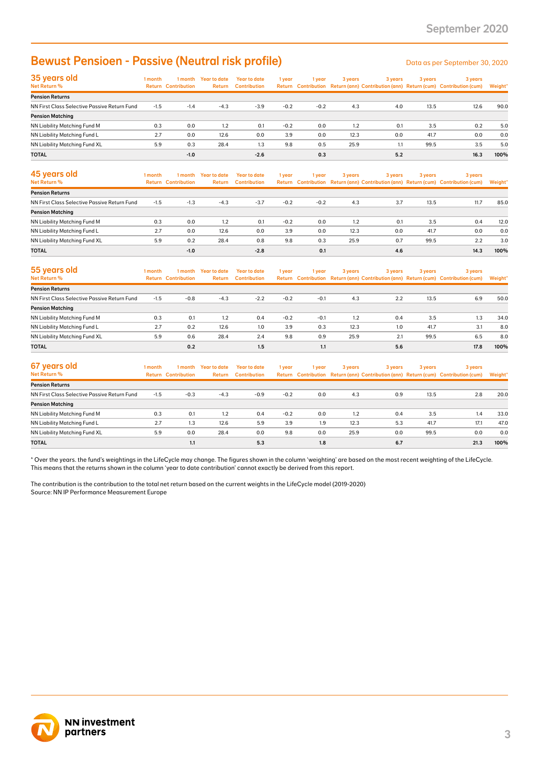### Bewust Pensioen - Passive (Neutral risk profile) Data as per September 30, 2020

| 35 years old                                 | 1 month | 1 month                    | Year to date  | Year to date        | 1 year | 1 year | 3 years | 3 years | 3 years | 3 years                                                                             |         |
|----------------------------------------------|---------|----------------------------|---------------|---------------------|--------|--------|---------|---------|---------|-------------------------------------------------------------------------------------|---------|
| Net Return %                                 |         | <b>Return Contribution</b> | <b>Return</b> | <b>Contribution</b> |        |        |         |         |         | Return Contribution Return (ann) Contribution (ann) Return (cum) Contribution (cum) | Weight* |
| <b>Pension Returns</b>                       |         |                            |               |                     |        |        |         |         |         |                                                                                     |         |
| NN First Class Selective Passive Return Fund | $-1.5$  | $-1.4$                     | $-4.3$        | $-3.9$              | $-0.2$ | $-0.2$ | 4.3     | 4.0     | 13.5    | 12.6                                                                                | 90.0    |
| <b>Pension Matching</b>                      |         |                            |               |                     |        |        |         |         |         |                                                                                     |         |
| NN Liability Matching Fund M                 | 0.3     | 0.0                        | 1.2           | 0.1                 | $-0.2$ | 0.0    | 1.2     | 0.1     | 3.5     | 0.2                                                                                 | 5.0     |
| NN Liability Matching Fund L                 | 2.7     | 0.0                        | 12.6          | 0.0                 | 3.9    | 0.0    | 12.3    | 0.0     | 41.7    | 0.0                                                                                 | 0.0     |
| <b>NN Liability Matching Fund XL</b>         | 5.9     | 0.3                        | 28.4          | 1.3                 | 9.8    | 0.5    | 25.9    | 1.1     | 99.5    | 3.5                                                                                 | 5.0     |
| <b>TOTAL</b>                                 |         | $-1.0$                     |               | $-2.6$              |        | 0.3    |         | 5.2     |         | 16.3                                                                                | 100%    |

|                                                                                                                                                                                                                                                                                                                                                                                                                                                                                      |         |                                       |                                | <b>Bewust Pensioen - Passive (Neutral risk profile)</b> |        |            |         |            |         | Data as per September 30, 2020                                                                 |             |
|--------------------------------------------------------------------------------------------------------------------------------------------------------------------------------------------------------------------------------------------------------------------------------------------------------------------------------------------------------------------------------------------------------------------------------------------------------------------------------------|---------|---------------------------------------|--------------------------------|---------------------------------------------------------|--------|------------|---------|------------|---------|------------------------------------------------------------------------------------------------|-------------|
| 35 years old<br>Net Return %                                                                                                                                                                                                                                                                                                                                                                                                                                                         | 1 month | <b>Return Contribution</b>            | 1 month Year to date<br>Return | <b>Year to date</b><br><b>Contribution</b>              | 1 year | 1 year     | 3 years | 3 years    | 3 years | 3 years<br>Return Contribution Return (ann) Contribution (ann) Return (cum) Contribution (cum) | Weight'     |
| <b>Pension Returns</b>                                                                                                                                                                                                                                                                                                                                                                                                                                                               |         |                                       |                                |                                                         |        |            |         |            |         |                                                                                                |             |
| NN First Class Selective Passive Return Fund<br><b>Pension Matching</b>                                                                                                                                                                                                                                                                                                                                                                                                              | $-1.5$  | $-1.4$                                | $-4.3$                         | $-3.9$                                                  | $-0.2$ | $-0.2$     | 4.3     | 4.0        | 13.5    | 12.6                                                                                           | 90.0        |
| NN Liability Matching Fund M                                                                                                                                                                                                                                                                                                                                                                                                                                                         | 0.3     | 0.0                                   | 1.2                            | 0.1                                                     | $-0.2$ | 0.0        | 1.2     | 0.1        | 3.5     | 0.2                                                                                            | 5.0         |
| NN Liability Matching Fund L                                                                                                                                                                                                                                                                                                                                                                                                                                                         | 2.7     | 0.0                                   | 12.6                           | 0.0                                                     | 3.9    | 0.0        | 12.3    | 0.0        | 41.7    | 0.0                                                                                            | 0.0         |
| NN Liability Matching Fund XL                                                                                                                                                                                                                                                                                                                                                                                                                                                        | 5.9     | 0.3                                   | 28.4                           | 1.3                                                     | 9.8    | 0.5        | 25.9    | 1.1        | 99.5    | 3.5                                                                                            | 5.0         |
| TOTAL                                                                                                                                                                                                                                                                                                                                                                                                                                                                                |         | $-1.0$                                |                                | $-2.6$                                                  |        | 0.3        |         | 5.2        |         | 16.3                                                                                           | 100%        |
| 45 years old<br>Net Return %                                                                                                                                                                                                                                                                                                                                                                                                                                                         | 1 month | 1 month<br><b>Return Contribution</b> | <b>Year to date</b><br>Return  | <b>Year to date</b><br><b>Contribution</b>              | 1 year | 1 year     | 3 years | 3 years    | 3 years | 3 years<br>Return Contribution Return (ann) Contribution (ann) Return (cum) Contribution (cum) | Weight'     |
| <b>Pension Returns</b>                                                                                                                                                                                                                                                                                                                                                                                                                                                               |         |                                       |                                |                                                         |        |            |         |            |         |                                                                                                |             |
| NN First Class Selective Passive Return Fund                                                                                                                                                                                                                                                                                                                                                                                                                                         | $-1.5$  | $-1.3$                                | $-4.3$                         | $-3.7$                                                  | $-0.2$ | $-0.2$     | 4.3     | 3.7        | 13.5    | 11.7                                                                                           | 85.0        |
| <b>Pension Matching</b>                                                                                                                                                                                                                                                                                                                                                                                                                                                              |         |                                       |                                |                                                         |        |            |         |            |         |                                                                                                |             |
| NN Liability Matching Fund M                                                                                                                                                                                                                                                                                                                                                                                                                                                         | 0.3     | 0.0                                   | 1.2                            | 0.1                                                     | $-0.2$ | 0.0        | 1.2     | 0.1        | 3.5     | 0.4                                                                                            | 12.0        |
| NN Liability Matching Fund L                                                                                                                                                                                                                                                                                                                                                                                                                                                         | 2.7     | 0.0                                   | 12.6                           | 0.0                                                     | 3.9    | 0.0        | 12.3    | 0.0        | 41.7    | 0.0                                                                                            | 0.0         |
| NN Liability Matching Fund XL                                                                                                                                                                                                                                                                                                                                                                                                                                                        | 5.9     | 0.2                                   | 28.4                           | 0.8                                                     | 9.8    | 0.3        | 25.9    | 0.7        | 99.5    | 2.2                                                                                            | 3.0         |
| <b>TOTAL</b>                                                                                                                                                                                                                                                                                                                                                                                                                                                                         |         | $-1.0$                                |                                | $-2.8$                                                  |        | 0.1        |         | 4.6        |         | 14.3                                                                                           | 100%        |
| 55 years old<br><b>Net Return %</b>                                                                                                                                                                                                                                                                                                                                                                                                                                                  | 1 month | 1 month<br><b>Return Contribution</b> | <b>Year to date</b><br>Return  | <b>Year to date</b><br><b>Contribution</b>              | 1 year | 1 year     | 3 years | 3 years    | 3 years | 3 years<br>Return Contribution Return (ann) Contribution (ann) Return (cum) Contribution (cum) | Weight'     |
| <b>Pension Returns</b>                                                                                                                                                                                                                                                                                                                                                                                                                                                               |         |                                       |                                |                                                         |        |            |         |            |         |                                                                                                |             |
| NN First Class Selective Passive Return Fund                                                                                                                                                                                                                                                                                                                                                                                                                                         | $-1.5$  | $-0.8$                                | $-4.3$                         | $-2.2$                                                  | $-0.2$ | $-0.1$     | 4.3     | 2.2        | 13.5    | 6.9                                                                                            | 50.0        |
| <b>Pension Matching</b>                                                                                                                                                                                                                                                                                                                                                                                                                                                              |         |                                       |                                |                                                         |        |            |         |            |         |                                                                                                |             |
| NN Liability Matching Fund M                                                                                                                                                                                                                                                                                                                                                                                                                                                         | 0.3     | 0.1                                   | 1.2                            | 0.4                                                     | $-0.2$ | $-0.1$     | 1.2     | 0.4        | 3.5     | 1.3                                                                                            | 34.0        |
| NN Liability Matching Fund L                                                                                                                                                                                                                                                                                                                                                                                                                                                         | 2.7     | 0.2                                   | 12.6                           | 1.0                                                     | 3.9    | 0.3        | 12.3    | 1.0        | 41.7    | 3.1                                                                                            | 8.0         |
| NN Liability Matching Fund XL                                                                                                                                                                                                                                                                                                                                                                                                                                                        | 5.9     | 0.6                                   | 28.4                           | 2.4                                                     | 9.8    | 0.9        | 25.9    | 2.1        | 99.5    | 6.5                                                                                            | 8.0         |
| <b>TOTAL</b>                                                                                                                                                                                                                                                                                                                                                                                                                                                                         |         | 0.2                                   |                                | 1.5                                                     |        | 1.1        |         | 5.6        |         | 17.8                                                                                           | 100%        |
| 67 years old<br>Net Return %                                                                                                                                                                                                                                                                                                                                                                                                                                                         | 1 month | 1 month<br><b>Return Contribution</b> | <b>Year to date</b><br>Return  | <b>Year to date</b><br><b>Contribution</b>              | 1 year | 1 year     | 3 years | 3 years    | 3 years | 3 years<br>Return Contribution Return (ann) Contribution (ann) Return (cum) Contribution (cum) | Weight'     |
| <b>Pension Returns</b>                                                                                                                                                                                                                                                                                                                                                                                                                                                               |         |                                       |                                |                                                         |        |            |         |            |         |                                                                                                |             |
| NN First Class Selective Passive Return Fund                                                                                                                                                                                                                                                                                                                                                                                                                                         | $-1.5$  | $-0.3$                                | $-4.3$                         | $-0.9$                                                  | $-0.2$ | 0.0        | 4.3     | 0.9        | 13.5    | 2.8                                                                                            | 20.0        |
| <b>Pension Matching</b>                                                                                                                                                                                                                                                                                                                                                                                                                                                              |         |                                       |                                |                                                         |        |            |         |            |         |                                                                                                |             |
| NN Liability Matching Fund M                                                                                                                                                                                                                                                                                                                                                                                                                                                         | 0.3     | 0.1                                   | 1.2                            | 0.4                                                     | $-0.2$ | 0.0        | 1.2     | 0.4        | 3.5     | 1.4                                                                                            | 33.0        |
| NN Liability Matching Fund L                                                                                                                                                                                                                                                                                                                                                                                                                                                         | 2.7     | 1.3                                   | 12.6                           | 5.9                                                     | 3.9    | 1.9        | 12.3    | 5.3        | 41.7    | 17.1                                                                                           | 47.0        |
| NN Liability Matching Fund XL<br>TOTAL                                                                                                                                                                                                                                                                                                                                                                                                                                               | 5.9     | 0.0<br>1.1                            | 28.4                           | 0.0<br>5.3                                              | 9.8    | 0.0<br>1.8 | 25.9    | 0.0<br>6.7 | 99.5    | 0.0<br>21.3                                                                                    | 0.0<br>100% |
| * Over the years. the fund's weightings in the LifeCycle may change. The figures shown in the column 'weighting' are based on the most recent weighting of the LifeCycle.<br>This means that the returns shown in the column 'year to date contribution' cannot exactly be derived from this report.<br>The contribution is the contribution to the total net return based on the current weights in the LifeCycle model (2019-2020)<br>Source: NN IP Performance Measurement Europe |         |                                       |                                |                                                         |        |            |         |            |         |                                                                                                |             |
|                                                                                                                                                                                                                                                                                                                                                                                                                                                                                      |         |                                       |                                |                                                         |        |            |         |            |         |                                                                                                |             |

| 55 years old                                 | 1 month | 1 month                    | <b>Year to date</b> | Year to date        | 1 year | 1 year | 3 years | 3 years | 3 years | 3 years                                                                             |         |
|----------------------------------------------|---------|----------------------------|---------------------|---------------------|--------|--------|---------|---------|---------|-------------------------------------------------------------------------------------|---------|
| Net Return %                                 |         | <b>Return Contribution</b> | Return              | <b>Contribution</b> |        |        |         |         |         | Return Contribution Return (ann) Contribution (ann) Return (cum) Contribution (cum) | Weight* |
| <b>Pension Returns</b>                       |         |                            |                     |                     |        |        |         |         |         |                                                                                     |         |
| NN First Class Selective Passive Return Fund | $-1.5$  | $-0.8$                     | $-4.3$              | $-2.2$              | $-0.2$ | $-0.1$ | 4.3     | 2.2     | 13.5    | 6.9                                                                                 | 50.0    |
| <b>Pension Matching</b>                      |         |                            |                     |                     |        |        |         |         |         |                                                                                     |         |
| NN Liability Matching Fund M                 | 0.3     | 0.1                        | 1.2                 | 0.4                 | $-0.2$ | $-0.1$ | 1.2     | 0.4     | 3.5     | 1.3                                                                                 | 34.0    |
| NN Liability Matching Fund L                 | 2.7     | 0.2                        | 12.6                | 1.0                 | 3.9    | 0.3    | 12.3    | 1.0     | 41.7    | 3.1                                                                                 | 8.0     |
| NN Liability Matching Fund XL                | 5.9     | 0.6                        | 28.4                | 2.4                 | 9.8    | 0.9    | 25.9    | 2.1     | 99.5    | 6.5                                                                                 | 8.0     |
| <b>TOTAL</b>                                 |         | 0.2                        |                     | 1.5                 |        | 1.1    |         | 5.6     |         | 17.8                                                                                | 100%    |

| 67 years old                                 | 1 month | 1 month                    | Year to date  | <b>Year to date</b> | 1 year | l year | 3 years | 3 years | 3 years | 3 years                                                                             |         |
|----------------------------------------------|---------|----------------------------|---------------|---------------------|--------|--------|---------|---------|---------|-------------------------------------------------------------------------------------|---------|
| Net Return %                                 |         | <b>Return Contribution</b> | <b>Return</b> | <b>Contribution</b> |        |        |         |         |         | Return Contribution Return (ann) Contribution (ann) Return (cum) Contribution (cum) | Weight* |
| <b>Pension Returns</b>                       |         |                            |               |                     |        |        |         |         |         |                                                                                     |         |
| NN First Class Selective Passive Return Fund | $-1.5$  | $-0.3$                     | $-4.3$        | $-0.9$              | $-0.2$ | 0.0    | 4.3     | 0.9     | 13.5    | 2.8                                                                                 | 20.0    |
| <b>Pension Matching</b>                      |         |                            |               |                     |        |        |         |         |         |                                                                                     |         |
| NN Liability Matching Fund M                 | 0.3     | 0.1                        | 1.2           | 0.4                 | $-0.2$ | 0.0    | 1.2     | 0.4     | 3.5     | 1.4                                                                                 | 33.0    |
| NN Liability Matching Fund L                 | 2.7     | 1.3                        | 12.6          | 5.9                 | 3.9    | 1.9    | 12.3    | 5.3     | 41.7    | 17.1                                                                                | 47.0    |
| NN Liability Matching Fund XL                | 5.9     | 0.0                        | 28.4          | 0.0                 | 9.8    | 0.0    | 25.9    | 0.0     | 99.5    | 0.0                                                                                 | 0.0     |
| <b>TOTAL</b>                                 |         | 1.1                        |               | 5.3                 |        | 1.8    |         | 6.7     |         | 21.3                                                                                | 100%    |